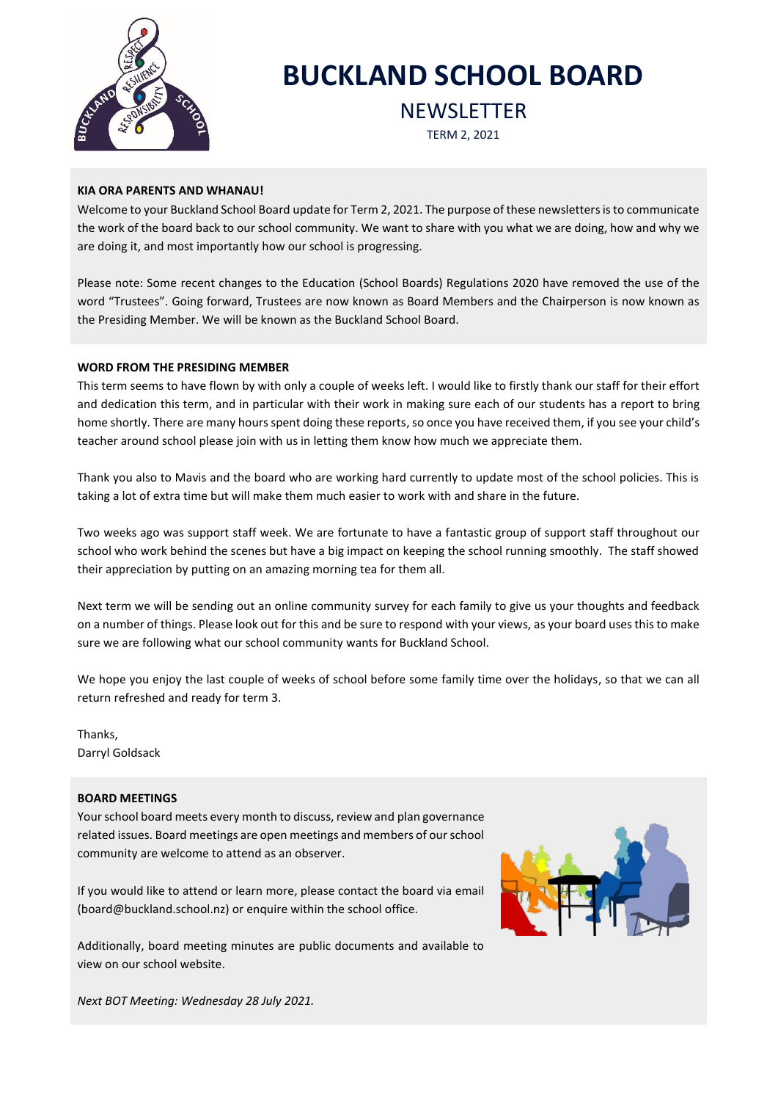

# **BUCKLAND SCHOOL BOARD**

**NEWSLETTER** 

TERM 2, 2021

# **KIA ORA PARENTS AND WHANAU!**

Welcome to your Buckland School Board update for Term 2, 2021. The purpose of these newsletters is to communicate the work of the board back to our school community. We want to share with you what we are doing, how and why we are doing it, and most importantly how our school is progressing.

Please note: Some recent changes to the Education (School Boards) Regulations 2020 have removed the use of the word "Trustees". Going forward, Trustees are now known as Board Members and the Chairperson is now known as the Presiding Member. We will be known as the Buckland School Board.

# **WORD FROM THE PRESIDING MEMBER**

This term seems to have flown by with only a couple of weeks left. I would like to firstly thank our staff for their effort and dedication this term, and in particular with their work in making sure each of our students has a report to bring home shortly. There are many hours spent doing these reports, so once you have received them, if you see your child's teacher around school please join with us in letting them know how much we appreciate them.

Thank you also to Mavis and the board who are working hard currently to update most of the school policies. This is taking a lot of extra time but will make them much easier to work with and share in the future.

Two weeks ago was support staff week. We are fortunate to have a fantastic group of support staff throughout our school who work behind the scenes but have a big impact on keeping the school running smoothly. The staff showed their appreciation by putting on an amazing morning tea for them all.

Next term we will be sending out an online community survey for each family to give us your thoughts and feedback on a number of things. Please look out for this and be sure to respond with your views, as your board uses this to make sure we are following what our school community wants for Buckland School.

We hope you enjoy the last couple of weeks of school before some family time over the holidays, so that we can all return refreshed and ready for term 3.

Thanks, Darryl Goldsack

# **BOARD MEETINGS**

Your school board meets every month to discuss, review and plan governance related issues. Board meetings are open meetings and members of our school community are welcome to attend as an observer.

If you would like to attend or learn more, please contact the board via email (board@buckland.school.nz) or enquire within the school office.

Additionally, board meeting minutes are public documents and available to view on our school website.



*Next BOT Meeting: Wednesday 28 July 2021.*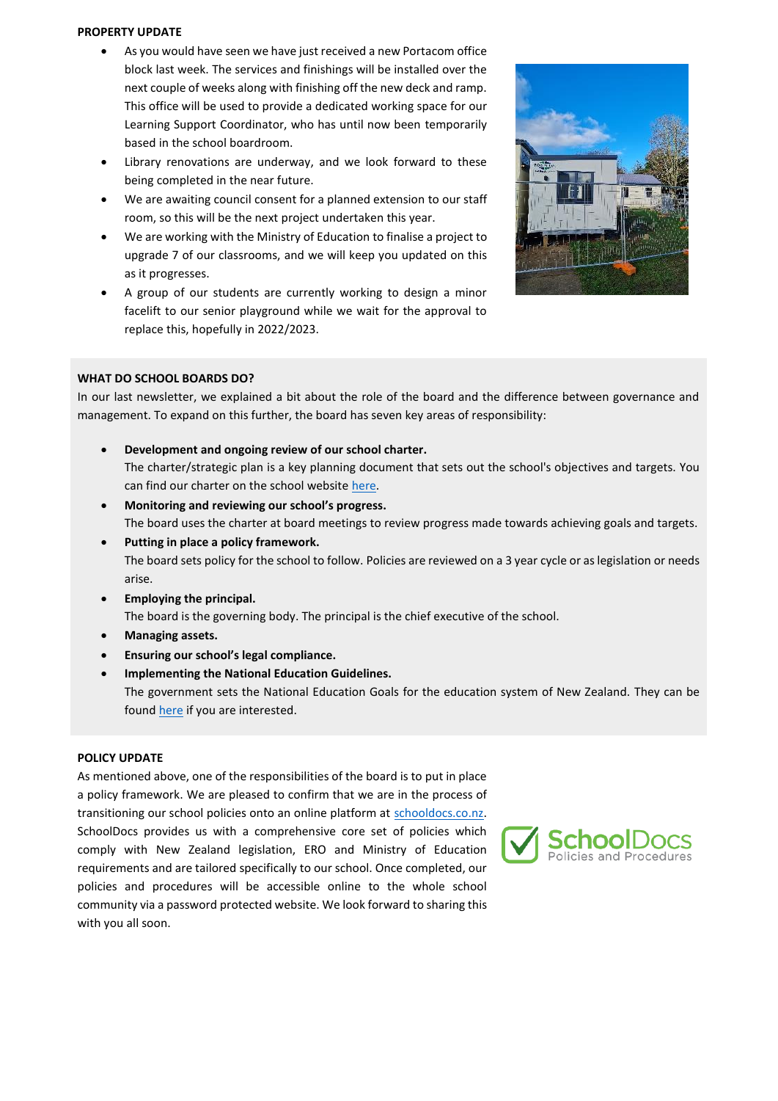#### **PROPERTY UPDATE**

- As you would have seen we have just received a new Portacom office block last week. The services and finishings will be installed over the next couple of weeks along with finishing off the new deck and ramp. This office will be used to provide a dedicated working space for our Learning Support Coordinator, who has until now been temporarily based in the school boardroom.
- Library renovations are underway, and we look forward to these being completed in the near future.
- We are awaiting council consent for a planned extension to our staff room, so this will be the next project undertaken this year.
- We are working with the Ministry of Education to finalise a project to upgrade 7 of our classrooms, and we will keep you updated on this as it progresses.
- A group of our students are currently working to design a minor facelift to our senior playground while we wait for the approval to replace this, hopefully in 2022/2023.



## **WHAT DO SCHOOL BOARDS DO?**

In our last newsletter, we explained a bit about the role of the board and the difference between governance and management. To expand on this further, the board has seven key areas of responsibility:

- **Development and ongoing review of our school charter.** The charter/strategic plan is a key planning document that sets out the school's objectives and targets. You can find our charter on the school website [here.](https://www.buckland.school.nz/6/file_sets/36-charter-and-strategic-plan)
- **Monitoring and reviewing our school's progress.** The board uses the charter at board meetings to review progress made towards achieving goals and targets.
- **Putting in place a policy framework.** The board sets policy for the school to follow. Policies are reviewed on a 3 year cycle or as legislation or needs arise.
- **Employing the principal.** The board is the governing body. The principal is the chief executive of the school.
- **Managing assets.**
- **Ensuring our school's legal compliance.**
- **Implementing the National Education Guidelines.** The government sets the National Education Goals for the education system of New Zealand. They can be foun[d here](https://www.education.govt.nz/our-work/legislation/negs/) if you are interested.

## **POLICY UPDATE**

As mentioned above, one of the responsibilities of the board is to put in place a policy framework. We are pleased to confirm that we are in the process of transitioning our school policies onto an online platform at [schooldocs.co.nz.](https://www.schooldocs.co.nz/)  SchoolDocs provides us with a comprehensive core set of policies which comply with New Zealand legislation, ERO and Ministry of Education requirements and are tailored specifically to our school. Once completed, our policies and procedures will be accessible online to the whole school community via a password protected website. We look forward to sharing this with you all soon.